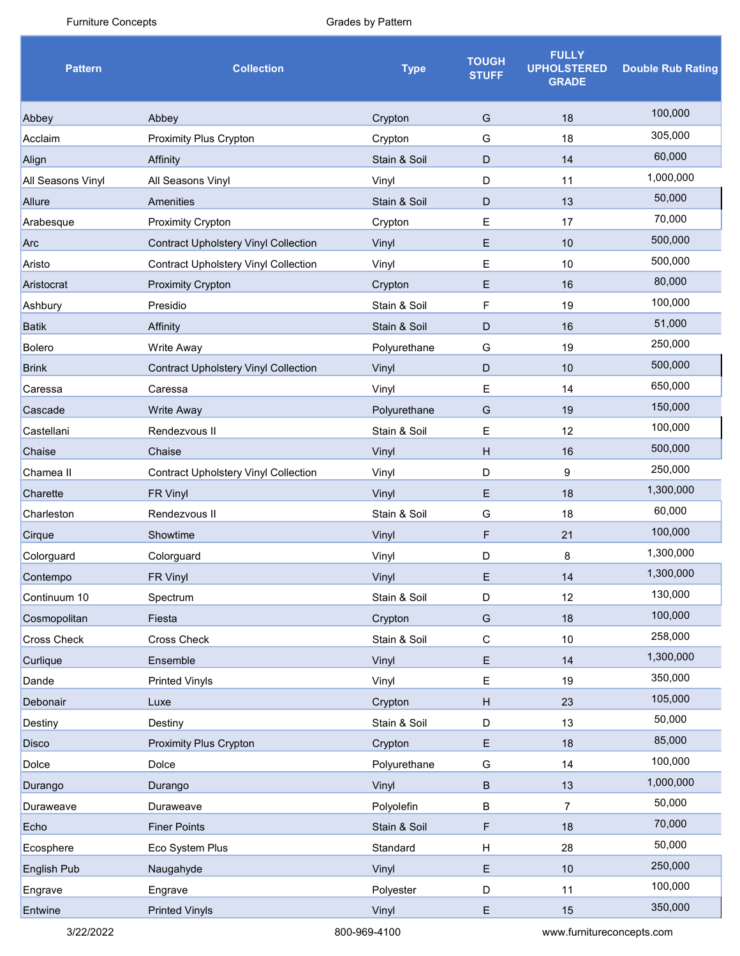| <b>Pattern</b>     | <b>Collection</b>                           | <b>Type</b>  | <b>TOUGH</b><br><b>STUFF</b> | <b>FULLY</b><br><b>UPHOLSTERED</b><br><b>GRADE</b> | <b>Double Rub Rating</b> |
|--------------------|---------------------------------------------|--------------|------------------------------|----------------------------------------------------|--------------------------|
| Abbey              | Abbey                                       | Crypton      | G                            | 18                                                 | 100,000                  |
| Acclaim            | Proximity Plus Crypton                      | Crypton      | G                            | 18                                                 | 305,000                  |
| Align              | Affinity                                    | Stain & Soil | D                            | 14                                                 | 60,000                   |
| All Seasons Vinyl  | All Seasons Vinyl                           | Vinyl        | D                            | 11                                                 | 1,000,000                |
| <b>Allure</b>      | Amenities                                   | Stain & Soil | D                            | 13                                                 | 50,000                   |
| Arabesque          | <b>Proximity Crypton</b>                    | Crypton      | Е                            | 17                                                 | 70,000                   |
| Arc                | <b>Contract Upholstery Vinyl Collection</b> | Vinyl        | Е                            | 10                                                 | 500,000                  |
| Aristo             | <b>Contract Upholstery Vinyl Collection</b> | Vinyl        | Ε                            | 10                                                 | 500,000                  |
| Aristocrat         | <b>Proximity Crypton</b>                    | Crypton      | E                            | 16                                                 | 80,000                   |
| Ashbury            | Presidio                                    | Stain & Soil | F                            | 19                                                 | 100,000                  |
| <b>Batik</b>       | Affinity                                    | Stain & Soil | D                            | 16                                                 | 51,000                   |
| Bolero             | Write Away                                  | Polyurethane | G                            | 19                                                 | 250,000                  |
| <b>Brink</b>       | <b>Contract Upholstery Vinyl Collection</b> | Vinyl        | D                            | 10                                                 | 500,000                  |
| Caressa            | Caressa                                     | Vinyl        | Ε                            | 14                                                 | 650,000                  |
| Cascade            | <b>Write Away</b>                           | Polyurethane | G                            | 19                                                 | 150,000                  |
| Castellani         | Rendezvous II                               | Stain & Soil | Е                            | 12                                                 | 100,000                  |
| Chaise             | Chaise                                      | Vinyl        | H                            | 16                                                 | 500,000                  |
| Chamea II          | <b>Contract Upholstery Vinyl Collection</b> | Vinyl        | D                            | 9                                                  | 250,000                  |
| Charette           | FR Vinyl                                    | Vinyl        | E                            | 18                                                 | 1,300,000                |
| Charleston         | Rendezvous II                               | Stain & Soil | G                            | 18                                                 | 60,000                   |
| Cirque             | Showtime                                    | Vinyl        | F                            | 21                                                 | 100,000                  |
| Colorguard         | Colorguard                                  | Vinyl        | D                            | 8                                                  | 1,300,000                |
| Contempo           | FR Vinyl                                    | Vinyl        | Е                            | 14                                                 | 1,300,000                |
| Continuum 10       | Spectrum                                    | Stain & Soil | D                            | 12                                                 | 130,000                  |
| Cosmopolitan       | Fiesta                                      | Crypton      | G                            | 18                                                 | 100,000                  |
| <b>Cross Check</b> | Cross Check                                 | Stain & Soil | $\mathsf C$                  | 10                                                 | 258,000                  |
| Curlique           | Ensemble                                    | Vinyl        | Ε                            | 14                                                 | 1,300,000                |
| Dande              | <b>Printed Vinyls</b>                       | Vinyl        | Е                            | 19                                                 | 350,000                  |
| Debonair           | Luxe                                        | Crypton      | H                            | 23                                                 | 105,000                  |
| Destiny            | Destiny                                     | Stain & Soil | D                            | 13                                                 | 50,000                   |
| Disco              | Proximity Plus Crypton                      | Crypton      | Е                            | 18                                                 | 85,000                   |
| Dolce              | Dolce                                       | Polyurethane | G                            | 14                                                 | 100,000                  |
| Durango            | Durango                                     | Vinyl        | B                            | 13                                                 | 1,000,000                |
| Duraweave          | Duraweave                                   | Polyolefin   | $\sf B$                      | 7                                                  | 50,000                   |
| Echo               | <b>Finer Points</b>                         | Stain & Soil | F                            | 18                                                 | 70,000                   |
| Ecosphere          | Eco System Plus                             | Standard     | H                            | 28                                                 | 50,000                   |
| English Pub        | Naugahyde                                   | Vinyl        | E                            | 10                                                 | 250,000                  |
| Engrave            | Engrave                                     | Polyester    | D                            | 11                                                 | 100,000                  |
| Entwine            | <b>Printed Vinyls</b>                       | Vinyl        | Ε                            | 15                                                 | 350,000                  |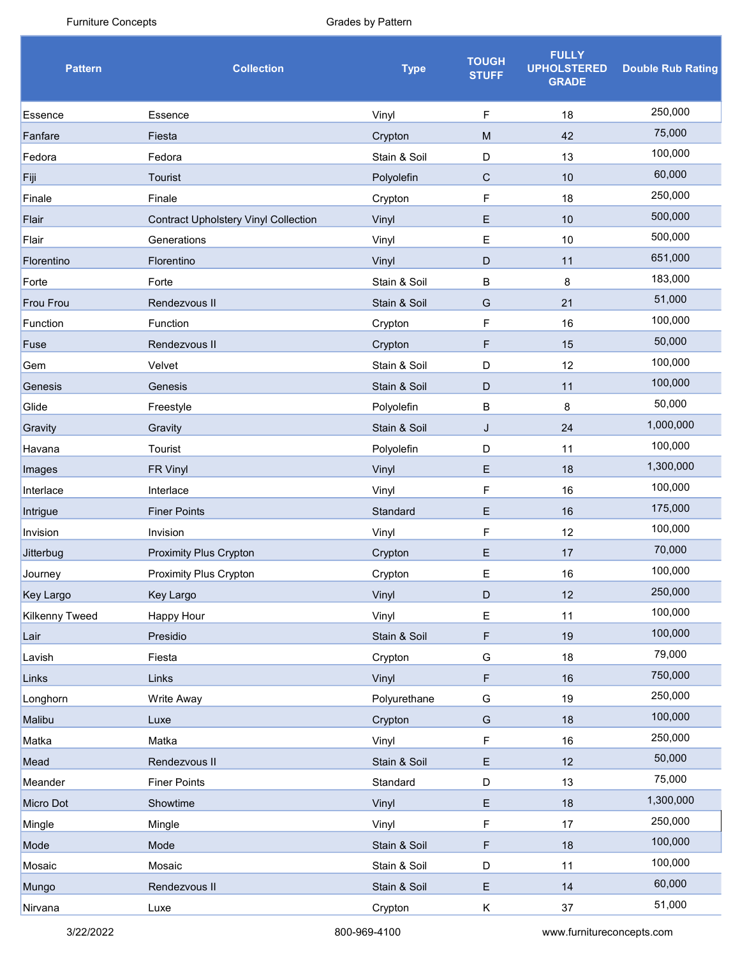Furniture Concepts Grades by Pattern

| <b>Pattern</b>   | <b>Collection</b>                           | <b>Type</b>  | <b>TOUGH</b><br><b>STUFF</b> | <b>FULLY</b><br><b>UPHOLSTERED</b><br><b>GRADE</b> | <b>Double Rub Rating</b> |
|------------------|---------------------------------------------|--------------|------------------------------|----------------------------------------------------|--------------------------|
| Essence          | Essence                                     | Vinyl        | F                            | 18                                                 | 250,000                  |
| Fanfare          | Fiesta                                      | Crypton      | M                            | 42                                                 | 75,000                   |
| Fedora           | Fedora                                      | Stain & Soil | D                            | 13                                                 | 100,000                  |
| Fiji             | Tourist                                     | Polyolefin   | $\mathsf{C}$                 | 10                                                 | 60,000                   |
| Finale           | Finale                                      | Crypton      | F                            | 18                                                 | 250,000                  |
| Flair            | <b>Contract Upholstery Vinyl Collection</b> | Vinyl        | Ε                            | 10                                                 | 500,000                  |
| Flair            | Generations                                 | Vinyl        | Е                            | 10                                                 | 500,000                  |
| Florentino       | Florentino                                  | Vinyl        | D                            | 11                                                 | 651,000                  |
| Forte            | Forte                                       | Stain & Soil | B                            | 8                                                  | 183,000                  |
| <b>Frou Frou</b> | Rendezvous II                               | Stain & Soil | G                            | 21                                                 | 51,000                   |
| Function         | Function                                    | Crypton      | F                            | 16                                                 | 100,000                  |
| Fuse             | Rendezvous II                               | Crypton      | F                            | 15                                                 | 50,000                   |
| Gem              | Velvet                                      | Stain & Soil | D                            | 12                                                 | 100,000                  |
| Genesis          | Genesis                                     | Stain & Soil | D                            | 11                                                 | 100,000                  |
| Glide            | Freestyle                                   | Polyolefin   | B                            | 8                                                  | 50,000                   |
| Gravity          | Gravity                                     | Stain & Soil | J                            | 24                                                 | 1,000,000                |
| Havana           | Tourist                                     | Polyolefin   | D                            | 11                                                 | 100,000                  |
| Images           | FR Vinyl                                    | Vinyl        | E                            | 18                                                 | 1,300,000                |
| Interlace        | Interlace                                   | Vinyl        | F                            | 16                                                 | 100,000                  |
| Intrigue         | <b>Finer Points</b>                         | Standard     | E                            | 16                                                 | 175,000                  |
| Invision         | Invision                                    | Vinyl        | F                            | 12                                                 | 100,000                  |
| Jitterbug        | <b>Proximity Plus Crypton</b>               | Crypton      | Ε                            | 17                                                 | 70,000                   |
| Journey          | Proximity Plus Crypton                      | Crypton      | Е                            | 16                                                 | 100,000                  |
| Key Largo        | Key Largo                                   | Vinyl        | D                            | 12                                                 | 250,000                  |
| Kilkenny Tweed   | Happy Hour                                  | Vinyl        | E                            | 11                                                 | 100,000                  |
| Lair             | Presidio                                    | Stain & Soil | F                            | 19                                                 | 100,000                  |
| Lavish           | Fiesta                                      | Crypton      | G                            | 18                                                 | 79,000                   |
| Links            | Links                                       | Vinyl        | F                            | 16                                                 | 750,000                  |
| Longhorn         | <b>Write Away</b>                           | Polyurethane | G                            | 19                                                 | 250,000                  |
| Malibu           | Luxe                                        | Crypton      | G                            | 18                                                 | 100,000                  |
| Matka            | Matka                                       | Vinyl        | $\mathsf F$                  | 16                                                 | 250,000                  |
| Mead             | Rendezvous II                               | Stain & Soil | E                            | 12                                                 | 50,000                   |
| Meander          | <b>Finer Points</b>                         | Standard     | D                            | 13                                                 | 75,000                   |
| Micro Dot        | Showtime                                    | Vinyl        | $\mathsf E$                  | 18                                                 | 1,300,000                |
| Mingle           | Mingle                                      | Vinyl        | F                            | 17                                                 | 250,000                  |
| Mode             | Mode                                        | Stain & Soil | $\mathsf F$                  | 18                                                 | 100,000                  |
| Mosaic           | Mosaic                                      | Stain & Soil | D                            | 11                                                 | 100,000                  |
| Mungo            | Rendezvous II                               | Stain & Soil | $\mathsf E$                  | 14                                                 | 60,000                   |
| Nirvana          | Luxe                                        | Crypton      | Κ                            | $37\,$                                             | 51,000                   |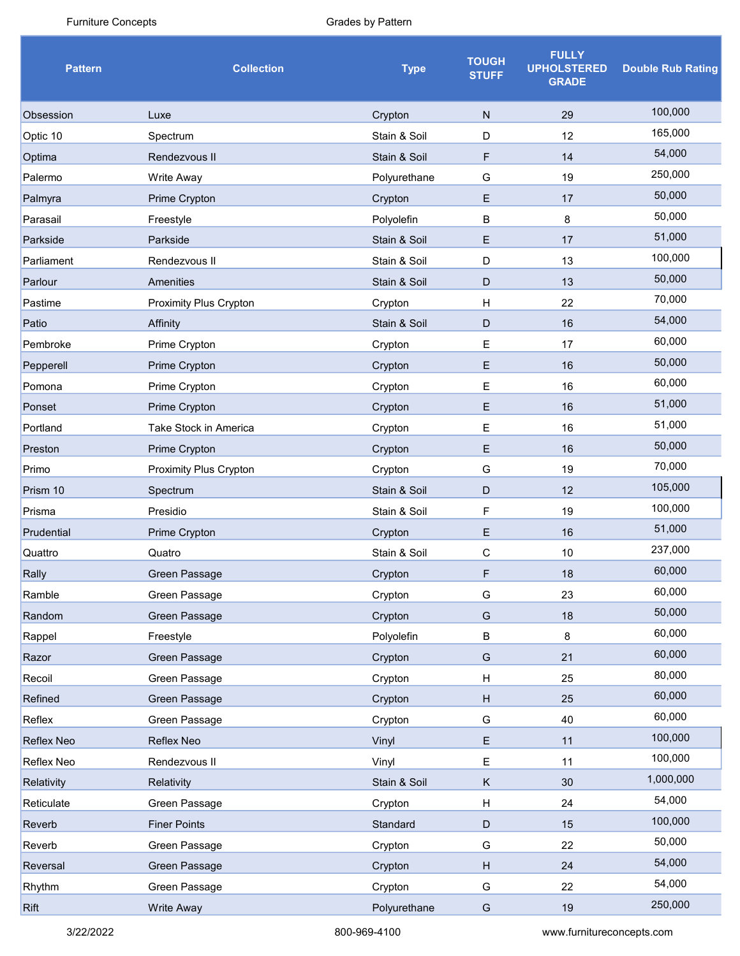Furniture Concepts Grades by Pattern

| <b>Pattern</b> | <b>Collection</b>      | <b>Type</b>  | <b>TOUGH</b><br><b>STUFF</b> | <b>FULLY</b><br><b>UPHOLSTERED</b><br><b>GRADE</b> | <b>Double Rub Rating</b> |
|----------------|------------------------|--------------|------------------------------|----------------------------------------------------|--------------------------|
| Obsession      | Luxe                   | Crypton      | N                            | 29                                                 | 100,000                  |
| Optic 10       | Spectrum               | Stain & Soil | D                            | 12                                                 | 165,000                  |
| Optima         | Rendezvous II          | Stain & Soil | F                            | 14                                                 | 54,000                   |
| Palermo        | Write Away             | Polyurethane | G                            | 19                                                 | 250,000                  |
| Palmyra        | Prime Crypton          | Crypton      | Е                            | 17                                                 | 50,000                   |
| Parasail       | Freestyle              | Polyolefin   | B                            | 8                                                  | 50,000                   |
| Parkside       | Parkside               | Stain & Soil | E.                           | 17                                                 | 51,000                   |
| Parliament     | Rendezvous II          | Stain & Soil | D                            | 13                                                 | 100,000                  |
| Parlour        | Amenities              | Stain & Soil | D                            | 13                                                 | 50,000                   |
| Pastime        | Proximity Plus Crypton | Crypton      | H                            | 22                                                 | 70,000                   |
| Patio          | Affinity               | Stain & Soil | D                            | 16                                                 | 54,000                   |
| Pembroke       | Prime Crypton          | Crypton      | Е                            | 17                                                 | 60,000                   |
| Pepperell      | Prime Crypton          | Crypton      | E                            | 16                                                 | 50,000                   |
| Pomona         | Prime Crypton          | Crypton      | Е                            | 16                                                 | 60,000                   |
| Ponset         | Prime Crypton          | Crypton      | Е                            | 16                                                 | 51,000                   |
| Portland       | Take Stock in America  | Crypton      | Е                            | 16                                                 | 51,000                   |
| Preston        | Prime Crypton          | Crypton      | Ε                            | 16                                                 | 50,000                   |
| Primo          | Proximity Plus Crypton | Crypton      | G                            | 19                                                 | 70,000                   |
| Prism 10       | Spectrum               | Stain & Soil | D                            | 12                                                 | 105,000                  |
| Prisma         | Presidio               | Stain & Soil | F                            | 19                                                 | 100,000                  |
| Prudential     | Prime Crypton          | Crypton      | E                            | 16                                                 | 51,000                   |
| Quattro        | Quatro                 | Stain & Soil | С                            | 10                                                 | 237,000                  |
| Rally          | Green Passage          | Crypton      | F                            | 18                                                 | 60,000                   |
| Ramble         | Green Passage          | Crypton      | G                            | 23                                                 | 60,000                   |
| Random         | Green Passage          | Crypton      | G                            | 18                                                 | 50,000                   |
| Rappel         | Freestyle              | Polyolefin   | $\sf B$                      | 8                                                  | 60,000                   |
| Razor          | Green Passage          | Crypton      | ${\mathsf G}$                | 21                                                 | 60,000                   |
| Recoil         | Green Passage          | Crypton      | Н                            | 25                                                 | 80,000                   |
| Refined        | Green Passage          | Crypton      | H                            | 25                                                 | 60,000                   |
| Reflex         | Green Passage          | Crypton      | G                            | 40                                                 | 60,000                   |
| Reflex Neo     | Reflex Neo             | Vinyl        | E                            | 11                                                 | 100,000                  |
| Reflex Neo     | Rendezvous II          | Vinyl        | E                            | 11                                                 | 100,000                  |
| Relativity     | Relativity             | Stain & Soil | K                            | 30                                                 | 1,000,000                |
| Reticulate     | Green Passage          | Crypton      | H                            | 24                                                 | 54,000                   |
| Reverb         | <b>Finer Points</b>    | Standard     | $\mathsf D$                  | 15                                                 | 100,000                  |
| Reverb         | Green Passage          | Crypton      | G                            | 22                                                 | 50,000                   |
| Reversal       | Green Passage          | Crypton      | H                            | 24                                                 | 54,000                   |
| Rhythm         | Green Passage          | Crypton      | G                            | 22                                                 | 54,000                   |
| Rift           | Write Away             | Polyurethane | ${\mathsf G}$                | $19$                                               | 250,000                  |

3/22/2022 800-969-4100 www.furnitureconcepts.com